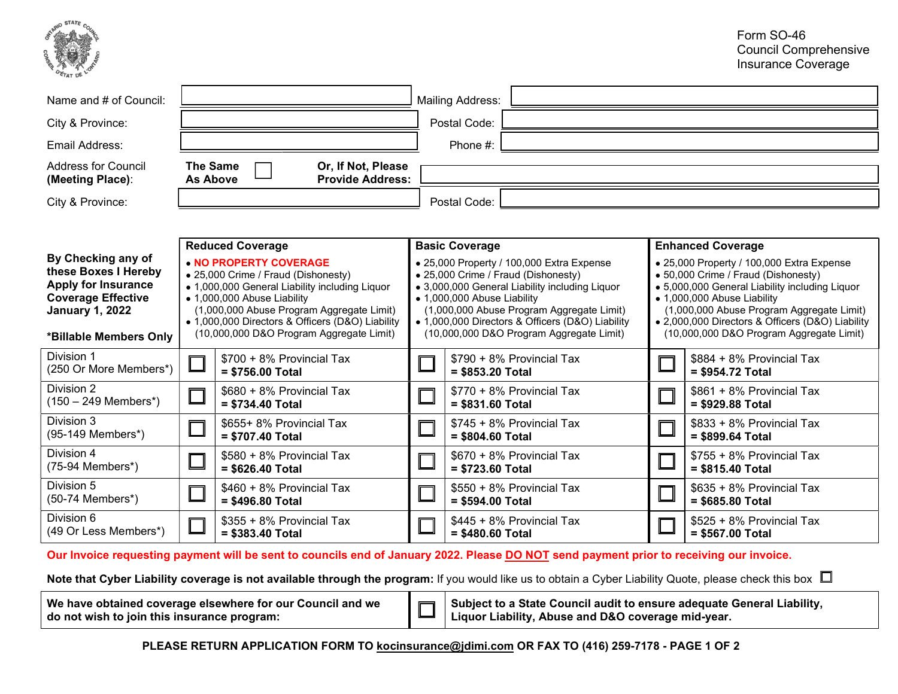

| Name and # of Council:                                                                                                                                                                                                                                                                                                                                                                                                                                   | <b>Mailing Address:</b>            |                                                |                                                                                                                                                                                                                                                                                                                |                                                |                          |                                                                                                                                                                                                                                                                                                                |  |  |
|----------------------------------------------------------------------------------------------------------------------------------------------------------------------------------------------------------------------------------------------------------------------------------------------------------------------------------------------------------------------------------------------------------------------------------------------------------|------------------------------------|------------------------------------------------|----------------------------------------------------------------------------------------------------------------------------------------------------------------------------------------------------------------------------------------------------------------------------------------------------------------|------------------------------------------------|--------------------------|----------------------------------------------------------------------------------------------------------------------------------------------------------------------------------------------------------------------------------------------------------------------------------------------------------------|--|--|
| City & Province:                                                                                                                                                                                                                                                                                                                                                                                                                                         |                                    |                                                |                                                                                                                                                                                                                                                                                                                | Postal Code:                                   |                          |                                                                                                                                                                                                                                                                                                                |  |  |
| Email Address:                                                                                                                                                                                                                                                                                                                                                                                                                                           |                                    |                                                |                                                                                                                                                                                                                                                                                                                | Phone #:                                       |                          |                                                                                                                                                                                                                                                                                                                |  |  |
| Address for Council<br>(Meeting Place):                                                                                                                                                                                                                                                                                                                                                                                                                  | <b>The Same</b><br><b>As Above</b> | Or, If Not, Please<br><b>Provide Address:</b>  |                                                                                                                                                                                                                                                                                                                |                                                |                          |                                                                                                                                                                                                                                                                                                                |  |  |
| City & Province:                                                                                                                                                                                                                                                                                                                                                                                                                                         |                                    |                                                |                                                                                                                                                                                                                                                                                                                | Postal Code:                                   |                          |                                                                                                                                                                                                                                                                                                                |  |  |
|                                                                                                                                                                                                                                                                                                                                                                                                                                                          |                                    |                                                |                                                                                                                                                                                                                                                                                                                |                                                |                          |                                                                                                                                                                                                                                                                                                                |  |  |
| <b>Reduced Coverage</b>                                                                                                                                                                                                                                                                                                                                                                                                                                  |                                    | <b>Basic Coverage</b>                          |                                                                                                                                                                                                                                                                                                                |                                                | <b>Enhanced Coverage</b> |                                                                                                                                                                                                                                                                                                                |  |  |
| By Checking any of<br>. NO PROPERTY COVERAGE<br>these Boxes I Hereby<br>• 25,000 Crime / Fraud (Dishonesty)<br><b>Apply for Insurance</b><br>• 1,000,000 General Liability including Liquor<br><b>Coverage Effective</b><br>• 1,000,000 Abuse Liability<br>(1,000,000 Abuse Program Aggregate Limit)<br><b>January 1, 2022</b><br>• 1,000,000 Directors & Officers (D&O) Liability<br>(10,000,000 D&O Program Aggregate Limit)<br>*Billable Members Only |                                    |                                                | • 25,000 Property / 100,000 Extra Expense<br>• 25,000 Crime / Fraud (Dishonesty)<br>• 3,000,000 General Liability including Liquor<br>• 1,000,000 Abuse Liability<br>(1,000,000 Abuse Program Aggregate Limit)<br>• 1,000,000 Directors & Officers (D&O) Liability<br>(10,000,000 D&O Program Aggregate Limit) |                                                |                          | • 25,000 Property / 100,000 Extra Expense<br>• 50,000 Crime / Fraud (Dishonesty)<br>• 5,000,000 General Liability including Liquor<br>• 1,000,000 Abuse Liability<br>(1,000,000 Abuse Program Aggregate Limit)<br>• 2,000,000 Directors & Officers (D&O) Liability<br>(10,000,000 D&O Program Aggregate Limit) |  |  |
| Division 1<br>(250 Or More Members*)                                                                                                                                                                                                                                                                                                                                                                                                                     |                                    | \$700 + 8% Provincial Tax<br>$= $756.00$ Total | \$790 + 8% Provincial Tax<br>= \$853.20 Total                                                                                                                                                                                                                                                                  |                                                |                          | \$884 + 8% Provincial Tax<br>= \$954.72 Total                                                                                                                                                                                                                                                                  |  |  |
| Division 2<br>$(150 - 249$ Members <sup>*</sup> )                                                                                                                                                                                                                                                                                                                                                                                                        |                                    | \$680 + 8% Provincial Tax<br>$= $734.40$ Total |                                                                                                                                                                                                                                                                                                                | \$770 + 8% Provincial Tax<br>$= $831.60$ Total |                          | \$861 + 8% Provincial Tax<br>= \$929.88 Total                                                                                                                                                                                                                                                                  |  |  |
| Division 3<br>(95-149 Members*)                                                                                                                                                                                                                                                                                                                                                                                                                          |                                    | \$655+ 8% Provincial Tax<br>= \$707.40 Total   |                                                                                                                                                                                                                                                                                                                | \$745 + 8% Provincial Tax<br>= \$804.60 Total  |                          | \$833 + 8% Provincial Tax<br>= \$899.64 Total                                                                                                                                                                                                                                                                  |  |  |
| Division 4<br>$(75-94$ Members <sup>*</sup> )                                                                                                                                                                                                                                                                                                                                                                                                            |                                    | \$580 + 8% Provincial Tax<br>= \$626.40 Total  |                                                                                                                                                                                                                                                                                                                | \$670 + 8% Provincial Tax<br>= \$723.60 Total  |                          | \$755 + 8% Provincial Tax<br>$= $815.40$ Total                                                                                                                                                                                                                                                                 |  |  |
| Division 5<br>(50-74 Members*)                                                                                                                                                                                                                                                                                                                                                                                                                           |                                    | \$460 + 8% Provincial Tax<br>$= $496.80$ Total |                                                                                                                                                                                                                                                                                                                | \$550 + 8% Provincial Tax<br>= \$594.00 Total  |                          | \$635 + 8% Provincial Tax<br>= \$685.80 Total                                                                                                                                                                                                                                                                  |  |  |
| Division 6<br>(49 Or Less Members*)                                                                                                                                                                                                                                                                                                                                                                                                                      |                                    | \$355 + 8% Provincial Tax<br>$= $383.40$ Total |                                                                                                                                                                                                                                                                                                                | \$445 + 8% Provincial Tax<br>= \$480.60 Total  |                          | \$525 + 8% Provincial Tax<br>= \$567.00 Total                                                                                                                                                                                                                                                                  |  |  |

Our Invoice requesting payment will be sent to councils end of January 2022. Please **DO NOT** send payment prior to receiving our invoice.

Note that Cyber Liability coverage is not available through the program: If you would like us to obtain a Cyber Liability Quote, please check this box  $\Box$ 

| We have obtained coverage elsewhere for our Council and we |  | ■ Subject to a State Council audit to ensure adequate General Liability, |  |  |
|------------------------------------------------------------|--|--------------------------------------------------------------------------|--|--|
| do not wish to join this insurance program:                |  |                                                                          |  |  |